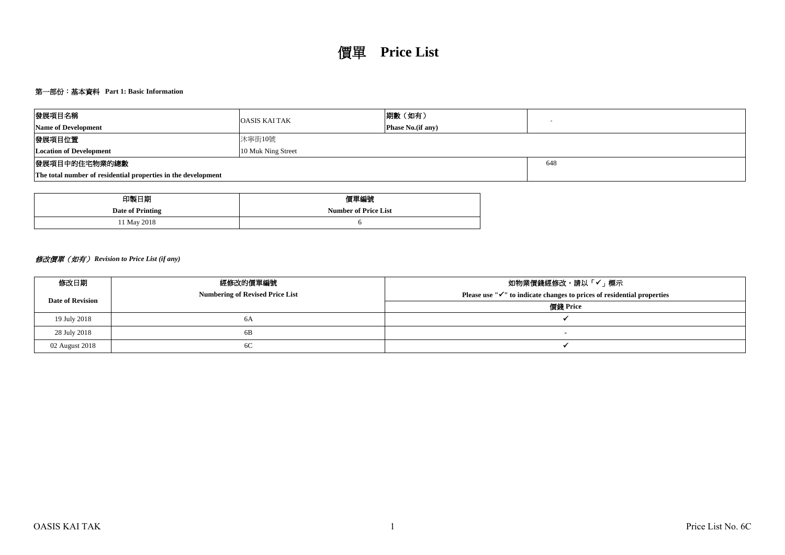## 第一部份:基本資料 **Part 1: Basic Information**

| 發展項目名稱                                                        | <b>OASIS KAI TAK</b> | 期數 (如有)                   |  |  |  |  |  |  |  |  |
|---------------------------------------------------------------|----------------------|---------------------------|--|--|--|--|--|--|--|--|
| <b>Name of Development</b>                                    |                      | <b>Phase No.</b> (if any) |  |  |  |  |  |  |  |  |
| 發展項目位置<br>沐寧街10號                                              |                      |                           |  |  |  |  |  |  |  |  |
| <b>Location of Development</b>                                | 10 Muk Ning Street   |                           |  |  |  |  |  |  |  |  |
| 發展項目中的住宅物業的總數<br>648                                          |                      |                           |  |  |  |  |  |  |  |  |
| The total number of residential properties in the development |                      |                           |  |  |  |  |  |  |  |  |

| 印製日期             | 價單編號                        |
|------------------|-----------------------------|
| Date of Printing | <b>Number of Price List</b> |
| 11 May 2018      |                             |

# 修改價單(如有) *Revision to Price List (if any)*

| 修改日期                    | 經修改的價單編號                               | 如物業價錢經修改,請以「✔」標示                                                                             |
|-------------------------|----------------------------------------|----------------------------------------------------------------------------------------------|
| <b>Date of Revision</b> | <b>Numbering of Revised Price List</b> | Please use $\mathbb{I} \checkmark$ " to indicate changes to prices of residential properties |
|                         |                                        | 價錢 Price                                                                                     |
| 19 July 2018            | 6A                                     |                                                                                              |
| 28 July 2018            | 6B                                     |                                                                                              |
| 02 August 2018          | 6C                                     |                                                                                              |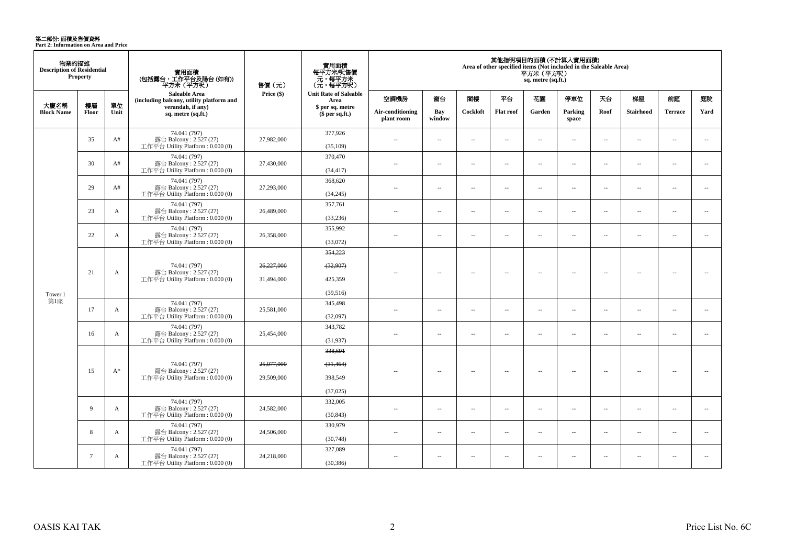**第二部份: 面積及售價資料**<br>Part 2: Information on Area and Price

| 物業的描述<br><b>Description of Residential</b> | Property        |              | 實用面積<br>(包括露台,工作平台及陽台 (如有))<br>平方米(平方呎)                                    | 售價(元)                    | 實用面積<br>每平方米/呎售價<br>元,每平方米<br>(元,每平方呎) |                                |                          |                          |                          | 平方米 (平方呎)<br>sq. metre (sq.ft.) | 其他指明項目的面積(不計算入實用面積)<br>Area of other specified items (Not included in the Saleable Area) |                             |                          |                          |                          |
|--------------------------------------------|-----------------|--------------|----------------------------------------------------------------------------|--------------------------|----------------------------------------|--------------------------------|--------------------------|--------------------------|--------------------------|---------------------------------|------------------------------------------------------------------------------------------|-----------------------------|--------------------------|--------------------------|--------------------------|
|                                            |                 |              | Saleable Area<br>(including balcony, utility platform and                  | Price (\$)               | <b>Unit Rate of Saleable</b><br>Area   | 空調機房                           | 窗台                       | 関樓                       | 平台                       | 花園                              | 停車位                                                                                      | 天台                          | 梯屋                       | 前庭                       | 庭院                       |
| 大廈名稱<br><b>Block Name</b>                  | 樓層<br>Floor     | 單位<br>Unit   | verandah, if any)<br>sq. metre (sq.ft.)                                    |                          | \$ per sq. metre<br>$$$ per sq.ft.)    | Air-conditioning<br>plant room | Bay<br>window            | Cockloft                 | Flat roof                | Garden                          | Parking<br>space                                                                         | Roof                        | Stairhood                | <b>Terrace</b>           | Yard                     |
|                                            | 35              | A#           | 74.041 (797)<br>露台 Balcony: 2.527 (27)<br>工作平台 Utility Platform: 0.000 (0) | 27,982,000               | 377,926<br>(35,109)                    | $\sim$                         | $\sim$                   | $\sim$                   | $\sim$                   | $\sim$                          | $\sim$                                                                                   | $\sim$                      | $\sim$                   | $\sim$                   | $\sim$                   |
|                                            | 30              | A#           | 74.041 (797)<br>露台 Balcony: 2.527 (27)<br>工作平台 Utility Platform: 0.000 (0) | 27,430,000               | 370,470<br>(34, 417)                   | $\overline{\phantom{a}}$       | $\overline{\phantom{a}}$ | $\overline{\phantom{a}}$ | $\overline{\phantom{a}}$ | $\overline{\phantom{a}}$        | $\sim$                                                                                   | $\overline{\phantom{a}}$    | $\overline{\phantom{a}}$ | $\overline{\phantom{a}}$ | $\overline{\phantom{a}}$ |
|                                            | 29              | A#           | 74.041 (797)<br>露台 Balcony: 2.527 (27)<br>工作平台 Utility Platform: 0.000 (0) | 27,293,000               | 368,620<br>(34,245)                    | ٠.                             | $\sim$                   | 4                        | $\sim$                   | $\overline{a}$                  | $\sim$                                                                                   | $\overline{\phantom{a}}$    | ÷.                       | $\sim$                   | $\overline{\phantom{a}}$ |
|                                            | 23              | A            | 74.041 (797)<br>露台 Balcony: 2.527 (27)<br>工作平台 Utility Platform: 0.000 (0) | 26,489,000               | 357,761<br>(33, 236)                   | $\overline{\phantom{a}}$       | $\overline{\phantom{a}}$ | $\sim$                   | $\overline{\phantom{a}}$ | $\overline{\phantom{a}}$        | $\overline{\phantom{a}}$                                                                 | $\overline{\phantom{a}}$    | $\sim$                   | $\overline{\phantom{a}}$ | $\overline{\phantom{a}}$ |
|                                            | 22              | $\mathbf{A}$ | 74.041 (797)<br>露台 Balcony: 2.527 (27)<br>工作平台 Utility Platform: 0.000 (0) | 26,358,000               | 355,992<br>(33,072)                    | $\overline{a}$                 | $\sim$                   | $\sim$                   | $\overline{a}$           | $\overline{a}$                  | $\sim$                                                                                   | $\overline{\phantom{a}}$    | $\sim$                   | $\sim$                   | $\overline{\phantom{a}}$ |
|                                            | 21              | A            | 74.041 (797)<br>露台 Balcony: 2.527 (27)                                     | 26,227,000               | 354,223<br>(32,907)                    |                                | $\overline{\phantom{a}}$ | 4                        | $\sim$                   | Ξ.                              | $\overline{\phantom{a}}$                                                                 | $\overline{\phantom{a}}$    | 4                        | $\overline{\phantom{a}}$ | 44                       |
| Tower 1                                    |                 |              | 工作平台 Utility Platform: 0.000 (0)                                           | 31,494,000               | 425,359<br>(39,516)                    |                                |                          |                          |                          |                                 |                                                                                          |                             |                          |                          |                          |
| 第1座                                        | 17              | A            | 74.041 (797)<br>露台 Balcony: 2.527 (27)<br>工作平台 Utility Platform: 0.000 (0) | 25,581,000               | 345,498<br>(32,097)                    | $\sim$                         | $\sim$                   | $\sim$                   | $\sim$                   | $\overline{a}$                  | $\sim$                                                                                   | $\overline{\phantom{a}}$    | $\sim$                   | $\overline{a}$           | $\sim$                   |
|                                            | 16              | $\mathbf{A}$ | 74.041 (797)<br>露台 Balcony: 2.527 (27)<br>工作平台 Utility Platform: 0.000 (0) | 25,454,000               | 343,782<br>(31,937)                    | $\sim$                         | $\sim$                   | $\sim$                   | $\overline{\phantom{a}}$ | $\overline{\phantom{a}}$        | $\sim$                                                                                   | $\overline{\phantom{a}}$    | $\sim$                   | $\sim$                   | $\overline{\phantom{a}}$ |
|                                            | 15              | $A^*$        | 74.041 (797)<br>露台 Balcony: 2.527 (27)<br>工作平台 Utility Platform: 0.000 (0) | 25,077,000<br>29,509,000 | 338,691<br>(31, 464)<br>398,549        |                                | $\overline{\phantom{a}}$ | $\sim$                   | $\sim$                   | $\sim$                          | $\overline{\phantom{a}}$                                                                 | $\overline{\phantom{a}}$    | $\sim$                   | $\overline{\phantom{a}}$ | $\sim$                   |
|                                            |                 |              |                                                                            |                          | (37,025)                               |                                |                          |                          |                          |                                 |                                                                                          |                             |                          |                          |                          |
|                                            | 9               | A            | 74.041 (797)<br>露台 Balcony: 2.527 (27)<br>工作平台 Utility Platform: 0.000 (0) | 24,582,000               | 332,005<br>(30, 843)                   | $\sim$ $\sim$                  | $\sim$                   | $\sim$                   | $\sim$                   | $\sim$                          | $\sim$                                                                                   | $\mathcal{L}_{\mathcal{A}}$ | $\sim$                   | $\overline{a}$           | $\sim$                   |
|                                            | 8               | A            | 74.041 (797)<br>露台 Balcony: 2.527 (27)<br>工作平台 Utility Platform: 0.000 (0) | 24,506,000               | 330,979<br>(30,748)                    | $\sim$ $\sim$                  | $\overline{\phantom{a}}$ | $\sim$                   | $\sim$                   | $\sim$                          | $\overline{\phantom{a}}$                                                                 | $\overline{\phantom{a}}$    | $\sim$                   | $\sim$                   | $\sim$                   |
|                                            | $7\phantom{.0}$ | A            | 74.041 (797)<br>露台 Balcony: 2.527 (27)<br>工作平台 Utility Platform: 0.000 (0) | 24,218,000               | 327,089<br>(30, 386)                   | $\sim$                         | $\overline{\phantom{a}}$ | $\overline{\phantom{a}}$ | $\sim$                   | $\overline{\phantom{a}}$        | $\overline{\phantom{a}}$                                                                 | $\overline{\phantom{a}}$    | $\overline{\phantom{a}}$ | $\overline{\phantom{a}}$ | $\sim$                   |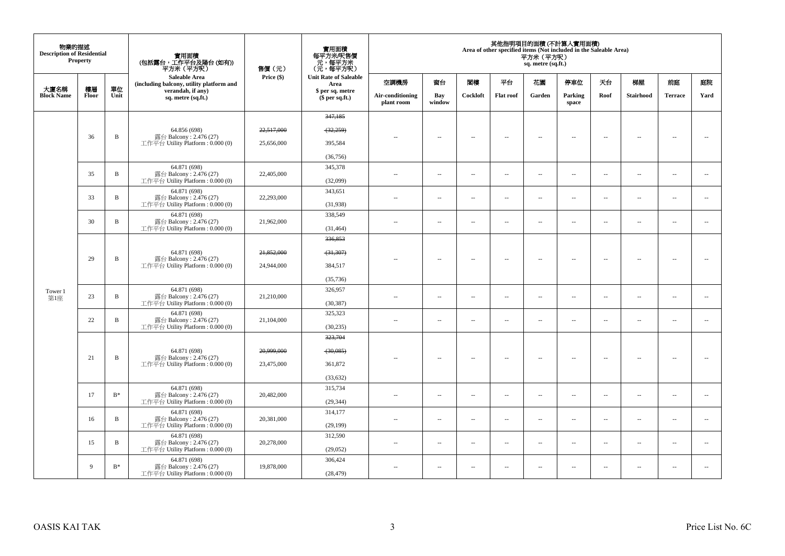| 物業的描述<br><b>Description of Residential</b> | <b>Property</b> |              | 實用面積<br>(包括露台,工作平台及陽台(如有))<br>平方米 (平方呎)                      | 售價(元)      | 實用面積<br>每平方米/呎售價<br>- 元, 每平方米<br>(元, 每平方呎) |                                |                          |                          |                          | 平方米 (平方呎)<br>sq. metre (sq.ft.) | 其他指明項目的面積 (不計算入實用面積)<br>Area of other specified items (Not included in the Saleable Area) |                          |                          |                          |                          |
|--------------------------------------------|-----------------|--------------|--------------------------------------------------------------|------------|--------------------------------------------|--------------------------------|--------------------------|--------------------------|--------------------------|---------------------------------|-------------------------------------------------------------------------------------------|--------------------------|--------------------------|--------------------------|--------------------------|
|                                            |                 |              | Saleable Area<br>(including balcony, utility platform and    | Price (\$) | <b>Unit Rate of Saleable</b><br>Area       | 空調機房                           | 窗台                       | 閣樓                       | 平台                       | 花園                              | 停車位                                                                                       | 夭台                       | 梯屋                       | 前庭                       | 庭院                       |
| 大廈名稱<br><b>Block Name</b>                  | 樓層<br>Floor     | 單位<br>Unit   | verandah, if any)<br>sq. metre (sq.ft.)                      |            | \$ per sq. metre<br>$$$ per sq.ft.)        | Air-conditioning<br>plant room | Bay<br>window            | Cockloft                 | <b>Flat roof</b>         | Garden                          | Parking<br>space                                                                          | Roof                     | Stairhood                | <b>Terrace</b>           | Yard                     |
|                                            |                 |              |                                                              |            | 347,185                                    |                                |                          |                          |                          |                                 |                                                                                           |                          |                          |                          |                          |
|                                            |                 |              | 64.856 (698)                                                 | 22,517,000 | (32, 259)                                  |                                |                          |                          |                          |                                 |                                                                                           |                          |                          |                          |                          |
|                                            | 36              | $\, {\bf B}$ | 露台 Balcony: 2.476 (27)<br>工作平台 Utility Platform : $0.000(0)$ | 25,656,000 | 395,584                                    | $-$                            | $\overline{\phantom{a}}$ | $\overline{\phantom{a}}$ | $\overline{\phantom{a}}$ | $\overline{\phantom{a}}$        | $\overline{\phantom{a}}$                                                                  | $\overline{\phantom{a}}$ | $\overline{\phantom{a}}$ | $\overline{\phantom{a}}$ | $\overline{\phantom{a}}$ |
|                                            |                 |              |                                                              |            | (36, 756)                                  |                                |                          |                          |                          |                                 |                                                                                           |                          |                          |                          |                          |
|                                            |                 |              | 64.871 (698)                                                 |            | 345,378                                    |                                |                          |                          |                          |                                 |                                                                                           |                          |                          |                          |                          |
|                                            | 35              | $\, {\bf B}$ | 露台 Balcony: 2.476 (27)<br>工作平台 Utility Platform : $0.000(0)$ | 22,405,000 | (32,099)                                   | 44                             | μ.                       | $\sim$                   | $\sim$                   | $\ldots$                        | $\sim$                                                                                    | $\overline{\phantom{a}}$ | $\overline{\phantom{a}}$ | $\bar{a}$                | $\overline{\phantom{a}}$ |
|                                            |                 |              | 64.871 (698)                                                 |            | 343,651                                    |                                |                          |                          |                          |                                 |                                                                                           |                          |                          |                          |                          |
|                                            | 33              | $\, {\bf B}$ | 露台 Balcony: 2.476 (27)<br>工作平台 Utility Platform : 0.000 (0)  | 22,293,000 | (31,938)                                   | $\sim$                         | $\overline{\phantom{a}}$ | $\sim$                   | $\ldots$                 | $\ldots$                        | $\sim$                                                                                    | $\overline{\phantom{a}}$ | $\sim$                   | $\sim$                   | $\overline{\phantom{a}}$ |
|                                            | 30              | $\mathbf B$  | 64.871 (698)<br>露台 Balcony: 2.476 (27)                       | 21.962.000 | 338,549                                    | $\sim$                         | $\overline{a}$           | $\sim$                   | $\sim$                   | $\overline{a}$                  | $\sim$                                                                                    | $\overline{\phantom{a}}$ | $\overline{a}$           | $\sim$                   | $\overline{\phantom{a}}$ |
|                                            |                 |              | 工作平台 Utility Platform : $0.000(0)$                           |            | (31, 464)                                  |                                |                          |                          |                          |                                 |                                                                                           |                          |                          |                          |                          |
|                                            |                 |              |                                                              |            | 336,853                                    |                                |                          |                          |                          |                                 |                                                                                           |                          |                          |                          |                          |
|                                            | 29              | $\, {\bf B}$ | 64.871 (698)<br>露台 Balcony: 2.476 (27)                       | 21,852,000 | (31, 307)                                  |                                |                          |                          |                          |                                 |                                                                                           |                          |                          |                          | $\sim$                   |
|                                            |                 |              | 工作平台 Utility Platform : 0.000 (0)                            | 24,944,000 | 384,517                                    |                                | Ξ.                       | $\sim$                   | $\sim$                   | $\overline{\phantom{a}}$        | $\sim$                                                                                    | $\overline{\phantom{a}}$ | $\overline{\phantom{a}}$ | $\sim$                   |                          |
|                                            |                 |              |                                                              |            | (35, 736)                                  |                                |                          |                          |                          |                                 |                                                                                           |                          |                          |                          |                          |
| Tower 1                                    | 23              | $\, {\bf B}$ | 64.871 (698)<br>露台 Balcony: 2.476 (27)                       | 21,210,000 | 326,957                                    | $\overline{a}$                 | $\overline{a}$           | $\sim$                   | $\sim$                   |                                 | $\sim$                                                                                    |                          | $\overline{a}$           | $\sim$                   | $\sim$                   |
| 第1座                                        |                 |              | 工作平台 Utility Platform: 0.000 (0)                             |            | (30, 387)                                  |                                |                          |                          |                          | $\overline{\phantom{a}}$        |                                                                                           | $\overline{\phantom{a}}$ |                          |                          |                          |
|                                            | 22              | $\, {\bf B}$ | 64.871 (698)<br>露台 Balcony: 2.476 (27)                       | 21,104,000 | 325,323                                    | $\overline{a}$                 | $\overline{\phantom{a}}$ | $\sim$                   | $\overline{\phantom{a}}$ | $\overline{\phantom{a}}$        | $\sim$                                                                                    | $\overline{\phantom{a}}$ | $\overline{\phantom{a}}$ | $\sim$                   | $\overline{\phantom{a}}$ |
|                                            |                 |              | 工作平台 Utility Platform : 0.000 (0)                            |            | (30, 235)                                  |                                |                          |                          |                          |                                 |                                                                                           |                          |                          |                          |                          |
|                                            |                 |              |                                                              |            | 323,704                                    |                                |                          |                          |                          |                                 |                                                                                           |                          |                          |                          |                          |
|                                            | 21              | $\, {\bf B}$ | 64.871 (698)<br>露台 Balcony: 2.476 (27)                       | 20,999,000 | (30,085)                                   | $-$                            | $\overline{\phantom{a}}$ | $\overline{\phantom{a}}$ | $\overline{\phantom{a}}$ | $\overline{\phantom{a}}$        | $\sim$                                                                                    | $\overline{\phantom{a}}$ | $\overline{\phantom{a}}$ | $\overline{\phantom{a}}$ | $\sim$                   |
|                                            |                 |              | 工作平台 Utility Platform : $0.000(0)$                           | 23,475,000 | 361,872                                    |                                |                          |                          |                          |                                 |                                                                                           |                          |                          |                          |                          |
|                                            |                 |              |                                                              |            | (33, 632)                                  |                                |                          |                          |                          |                                 |                                                                                           |                          |                          |                          |                          |
|                                            | 17              | $B^*$        | 64.871 (698)<br>露台 Balcony: 2.476 (27)                       | 20,482,000 | 315,734                                    | $\sim$ $-$                     | $\overline{\phantom{a}}$ | $\sim$                   | $\sim$                   | $\overline{\phantom{a}}$        | $\sim$                                                                                    | $\overline{\phantom{a}}$ | $\overline{\phantom{a}}$ | $\sim$                   | $\overline{\phantom{a}}$ |
|                                            |                 |              | 工作平台 Utility Platform : $0.000(0)$                           |            | (29, 344)                                  |                                |                          |                          |                          |                                 |                                                                                           |                          |                          |                          |                          |
|                                            | 16              | $\, {\bf B}$ | 64.871 (698)<br>露台 Balcony: 2.476 (27)                       | 20,381,000 | 314,177                                    | $\sim$                         | $\overline{\phantom{a}}$ | $\sim$                   | $\sim$                   | $\ldots$                        | $\sim$                                                                                    | $\overline{\phantom{a}}$ | $\overline{\phantom{a}}$ | $\sim$                   | $\sim$                   |
|                                            |                 |              | 工作平台 Utility Platform: 0.000 (0)                             |            | (29, 199)                                  |                                |                          |                          |                          |                                 |                                                                                           |                          |                          |                          |                          |
|                                            | 15              | $\mathbf B$  | 64.871 (698)<br>露台 Balcony: 2.476 (27)                       | 20,278,000 | 312,590                                    | $\sim$                         | $\sim$                   | $\sim$                   | $\sim$                   | $\overline{a}$                  | $\sim$                                                                                    | $\overline{\phantom{a}}$ | $\sim$                   | $\sim$                   | $\overline{\phantom{a}}$ |
|                                            |                 |              | 工作平台 Utility Platform: 0.000 (0)                             |            | (29,052)                                   |                                |                          |                          |                          |                                 |                                                                                           |                          |                          |                          |                          |
|                                            | 9               | $B^*$        | 64.871 (698)<br>露台 Balcony: 2.476 (27)                       | 19,878,000 | 306,424                                    | $\sim$ $\sim$                  | $\sim$                   | $\sim$                   | $\sim$                   | $\overline{a}$                  | $\sim$                                                                                    | $\overline{\phantom{a}}$ | $\sim$                   | $\sim$                   | $\overline{\phantom{a}}$ |
|                                            |                 |              | 工作平台 Utility Platform : 0.000 (0)                            |            | (28, 479)                                  |                                |                          |                          |                          |                                 |                                                                                           |                          |                          |                          |                          |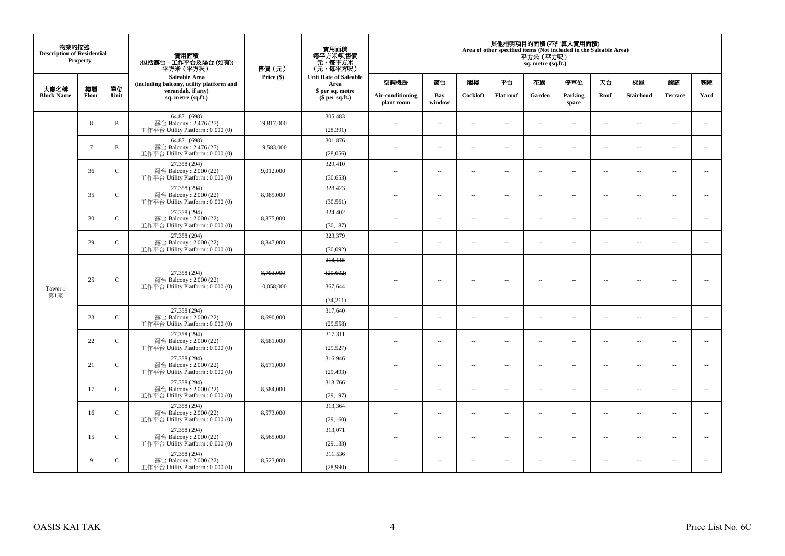| 物業的描述<br><b>Description of Residential</b> | <b>Property</b> |               | 實用面積<br>(包括露台,工作平台及陽台(如有))<br>平方米(平方呎)                                       | 售價(元)                   | 實用面積<br>每平方米/呎售價<br>- 元, 每平方米<br>(元, 每平方呎) |                                |                          |                          |                          | 平方米 (平方呎)<br>sq. metre (sq.ft.) | 其他指明項目的面積 (不計算入實用面積)<br>Area of other specified items (Not included in the Saleable Area) |                          |                          |                          |                          |
|--------------------------------------------|-----------------|---------------|------------------------------------------------------------------------------|-------------------------|--------------------------------------------|--------------------------------|--------------------------|--------------------------|--------------------------|---------------------------------|-------------------------------------------------------------------------------------------|--------------------------|--------------------------|--------------------------|--------------------------|
|                                            |                 |               | <b>Saleable Area</b><br>(including balcony, utility platform and             | Price (\$)              | <b>Unit Rate of Saleable</b><br>Area       | 空調機房                           | 窗台                       | 閣樓                       | 平台                       | 花園                              | 停車位                                                                                       | 天台                       | 梯屋                       | 前庭                       | 庭院                       |
| 大廈名稱<br><b>Block Name</b>                  | 樓層<br>Floor     | 單位<br>Unit    | verandah, if any)<br>sq. metre (sq.ft.)                                      |                         | \$ per sq. metre<br>\$per sq.ft.)          | Air-conditioning<br>plant room | Bay<br>window            | Cockloft                 | <b>Flat roof</b>         | Garden                          | Parking<br>space                                                                          | Roof                     | Stairhood                | <b>Terrace</b>           | Yard                     |
|                                            | 8               | $\mathbf B$   | 64.871 (698)<br>露台 Balcony: 2.476 (27)<br>工作平台 Utility Platform : $0.000(0)$ | 19,817,000              | 305,483<br>(28, 391)                       | $\sim$                         | $\sim$                   | $\sim$                   | $\overline{\phantom{a}}$ | $\overline{a}$                  | $\sim$                                                                                    | $\overline{\phantom{a}}$ | $\overline{a}$           | $\overline{\phantom{a}}$ | $\overline{\phantom{a}}$ |
|                                            | $7\phantom{.0}$ | $\mathbf B$   | 64.871 (698)<br>露台 Balcony: 2.476 (27)<br>工作平台 Utility Platform : $0.000(0)$ | 19,583,000              | 301,876<br>(28,056)                        | $\sim$                         | $\ldots$                 | $\overline{\phantom{a}}$ | $\ldots$                 | Ξ.                              | $\sim$                                                                                    | $\overline{\phantom{a}}$ | $\overline{\phantom{a}}$ | $\overline{\phantom{a}}$ | $\overline{\phantom{a}}$ |
|                                            | 36              | $\mathbf C$   | 27.358 (294)<br>露台 Balcony: 2.000 (22)<br>工作平台 Utility Platform: 0.000 (0)   | 9,012,000               | 329,410<br>(30, 653)                       | $\sim$ $\sim$                  | $\overline{a}$           | $\sim$                   | $\sim$                   | $\overline{a}$                  | $\sim$                                                                                    | $\overline{\phantom{a}}$ | $\overline{a}$           | $\sim$                   | $\overline{\phantom{a}}$ |
|                                            | 35              | $\mathbf{C}$  | 27.358 (294)<br>露台 Balcony: 2.000 (22)<br>工作平台 Utility Platform: 0.000 (0)   | 8,985,000               | 328,423<br>(30, 561)                       | $\sim$                         | $\sim$                   | $\sim$                   | $\sim$                   | $\overline{a}$                  | $\sim$                                                                                    | $\overline{\phantom{a}}$ | $\sim$                   | $\sim$                   | $\sim$                   |
|                                            | 30              | $\mathbf C$   | 27.358 (294)<br>露台 Balcony: 2.000 (22)<br>工作平台 Utility Platform : $0.000(0)$ | 8,875,000               | 324,402<br>(30, 187)                       | $\sim$                         | $\overline{\phantom{a}}$ | $\sim$                   | $\sim$                   | $\overline{a}$                  | $\sim$                                                                                    | $\overline{\phantom{a}}$ | $\overline{\phantom{a}}$ | $\sim$                   | $\sim$                   |
|                                            | 29              | $\mathsf{C}$  | 27.358 (294)<br>露台 Balcony: 2.000 (22)<br>工作平台 Utility Platform: 0.000 (0)   | 8,847,000               | 323,379<br>(30,092)                        | $\sim$ $-$                     | $\sim$                   | $\sim$                   | $\sim$                   | $\overline{\phantom{a}}$        | $\sim$                                                                                    | $\overline{\phantom{a}}$ | $\overline{\phantom{a}}$ | $\bar{a}$                | $\overline{\phantom{a}}$ |
| Tower 1<br>第1座                             | 25              | $\mathsf C$   | 27.358 (294)<br>露台 Balcony: 2.000 (22)<br>工作平台 Utility Platform : $0.000(0)$ | 8,703,000<br>10,058,000 | 318,115<br>(29,602)<br>367,644<br>(34,211) | ×.                             | $\sim$ $\sim$            | $\sim$                   | $\overline{\phantom{a}}$ | $\sim$                          | $\overline{\phantom{a}}$                                                                  | $\sim$                   | $\overline{\phantom{a}}$ | $\overline{\phantom{a}}$ | $\sim$                   |
|                                            | 23              | $\mathcal{C}$ | 27.358 (294)<br>露台 Balcony: 2.000 (22)<br>工作平台 Utility Platform : $0.000(0)$ | 8,690,000               | 317,640<br>(29, 558)                       | $\sim$ $-$                     | $\overline{\phantom{a}}$ | $\sim$                   | $\overline{a}$           | $\overline{\phantom{a}}$        | $\overline{\phantom{a}}$                                                                  | $\overline{\phantom{a}}$ | $\overline{\phantom{a}}$ | $\overline{\phantom{a}}$ | $\overline{\phantom{a}}$ |
|                                            | 22              | $\mathsf{C}$  | 27.358 (294)<br>露台 Balcony: 2.000 (22)<br>工作平台 Utility Platform : $0.000(0)$ | 8,681,000               | 317,311<br>(29, 527)                       | $\sim$ $\sim$                  | $\sim$                   | $\sim$                   | $\overline{\phantom{a}}$ | μ.                              | $\overline{\phantom{a}}$                                                                  | $\overline{\phantom{a}}$ | $\overline{\phantom{a}}$ | $\overline{\phantom{a}}$ | $\overline{\phantom{a}}$ |
|                                            | 21              | $\mathsf{C}$  | 27.358 (294)<br>露台 Balcony: 2.000 (22)<br>工作平台 Utility Platform : $0.000(0)$ | 8,671,000               | 316,946<br>(29, 493)                       | $\sim$ $\sim$                  | $\sim$                   | $\sim$                   | $\sim$                   | $\sim$                          | $\sim$                                                                                    | $\overline{\phantom{a}}$ | $\overline{\phantom{a}}$ | $\sim$                   | $\overline{\phantom{a}}$ |
|                                            | 17              | $\mathsf C$   | 27.358 (294)<br>露台 Balcony: 2.000 (22)<br>工作平台 Utility Platform: 0.000 (0)   | 8,584,000               | 313.766<br>(29, 197)                       | $-$                            | $\overline{\phantom{a}}$ | $\sim$                   | $\sim$                   | $\overline{a}$                  | $\sim$                                                                                    | $\sim$                   | $\overline{\phantom{a}}$ | $\sim$                   | $\sim$                   |
|                                            | 16              | $\mathbf{C}$  | 27.358 (294)<br>露台 Balcony: $2.000(22)$<br>工作平台 Utility Platform: 0.000 (0)  | 8,573,000               | 313,364<br>(29,160)                        | $\sim$                         | $\sim$                   | $\sim$                   | $\overline{\phantom{a}}$ | $\overline{a}$                  | $\sim$                                                                                    | $\overline{\phantom{a}}$ | $\overline{\phantom{a}}$ | $\sim$                   | $\sim$                   |
|                                            | 15              | $\mathbf C$   | 27.358 (294)<br>露台 Balcony: 2.000 (22)<br>工作平台 Utility Platform : $0.000(0)$ | 8,565,000               | 313,071<br>(29, 133)                       | $\sim$                         | $\sim$                   | $\sim$                   | $\ddot{\phantom{a}}$     | μ.                              | $\sim$                                                                                    | $\overline{\phantom{a}}$ | $\overline{\phantom{a}}$ | $\bar{a}$                | $\sim$                   |
|                                            | 9               | $\mathbf{C}$  | 27.358 (294)<br>露台 Balcony: 2.000 (22)<br>工作平台 Utility Platform : $0.000(0)$ | 8,523,000               | 311,536<br>(28,990)                        | $\sim$ $\sim$                  | $\sim$                   | $\sim$                   | $\sim$                   | $\sim$                          | $\sim$                                                                                    | $\overline{\phantom{a}}$ | $\sim$                   | $\sim$                   | $\sim$                   |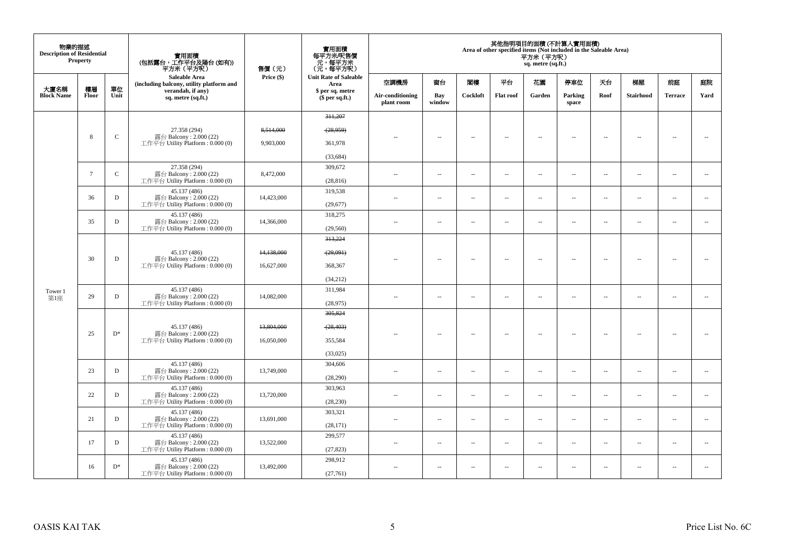| 物業的描述<br><b>Description of Residential</b> | <b>Property</b> |             | 實用面積<br>(包括露台,工作平台及陽台(如有))<br>平方米 (平方呎)                      | 售價(元)      | 實用面積<br>每平方米/呎售價<br>- 元, 每平方米<br>(元, 每平方呎) |                                |                          |                          |                          | 平方米 (平方呎)<br>sq. metre (sq.ft.) | 其他指明項目的面積 (不計算入實用面積)<br>Area of other specified items (Not included in the Saleable Area) |                          |                          |                          |                          |
|--------------------------------------------|-----------------|-------------|--------------------------------------------------------------|------------|--------------------------------------------|--------------------------------|--------------------------|--------------------------|--------------------------|---------------------------------|-------------------------------------------------------------------------------------------|--------------------------|--------------------------|--------------------------|--------------------------|
|                                            |                 |             | Saleable Area<br>(including balcony, utility platform and    | Price (\$) | <b>Unit Rate of Saleable</b><br>Area       | 空調機房                           | 窗台                       | 閣樓                       | 平台                       | 花園                              | 停車位                                                                                       | 夭台                       | 梯屋                       | 前庭                       | 庭院                       |
| 大廈名稱<br><b>Block Name</b>                  | 樓層<br>Floor     | 單位<br>Unit  | verandah, if any)<br>sq. metre (sq.ft.)                      |            | \$ per sq. metre<br>$$$ per sq.ft.)        | Air-conditioning<br>plant room | Bay<br>window            | Cockloft                 | <b>Flat roof</b>         | Garden                          | Parking<br>space                                                                          | Roof                     | Stairhood                | <b>Terrace</b>           | Yard                     |
|                                            |                 |             |                                                              |            | 311,207                                    |                                |                          |                          |                          |                                 |                                                                                           |                          |                          |                          |                          |
|                                            |                 |             | 27.358 (294)                                                 | 8,514,000  | (28,959)                                   |                                |                          |                          |                          |                                 |                                                                                           |                          |                          |                          |                          |
|                                            | 8               | $\mathbf C$ | 露台 Balcony: 2.000 (22)<br>工作平台 Utility Platform : $0.000(0)$ | 9,903,000  | 361,978                                    | $-$                            | $\overline{\phantom{a}}$ | $\overline{\phantom{a}}$ | $\overline{\phantom{a}}$ | $\overline{\phantom{a}}$        | $\overline{\phantom{a}}$                                                                  | $\overline{\phantom{a}}$ | $\overline{\phantom{a}}$ | $\overline{\phantom{a}}$ | $\overline{\phantom{a}}$ |
|                                            |                 |             |                                                              |            | (33, 684)                                  |                                |                          |                          |                          |                                 |                                                                                           |                          |                          |                          |                          |
|                                            |                 |             | 27.358 (294)                                                 |            | 309,672                                    |                                |                          |                          |                          |                                 |                                                                                           |                          |                          |                          |                          |
|                                            | $7\phantom{.0}$ | $\mathbf C$ | 露台 Balcony: 2.000 (22)<br>工作平台 Utility Platform : $0.000(0)$ | 8,472,000  | (28, 816)                                  | 44                             | μ.                       | $\sim$                   | $\sim$                   | $\overline{\phantom{a}}$        | $\sim$                                                                                    | $\overline{\phantom{a}}$ | $\overline{\phantom{a}}$ | $\bar{a}$                | $\overline{\phantom{a}}$ |
|                                            |                 |             | 45.137 (486)                                                 |            | 319,538                                    |                                |                          |                          |                          |                                 |                                                                                           |                          |                          |                          |                          |
|                                            | 36              | D           | 露台 Balcony: 2.000 (22)<br>工作平台 Utility Platform : 0.000 (0)  | 14,423,000 | (29, 677)                                  | $\sim$                         | $\overline{\phantom{a}}$ | $\sim$                   | $\sim$                   | $\ldots$                        | $\sim$                                                                                    | $\overline{\phantom{a}}$ | $\sim$                   | $\sim$                   | $\overline{\phantom{a}}$ |
|                                            | 35              | D           | 45.137 (486)<br>露台 Balcony: 2.000 (22)                       | 14,366,000 | 318,275                                    | $\overline{a}$                 | $\overline{a}$           | $\sim$                   | $\sim$                   | $\overline{a}$                  | $\sim$                                                                                    | $\overline{\phantom{a}}$ | $\overline{\phantom{a}}$ | $\sim$                   | $\overline{\phantom{a}}$ |
|                                            |                 |             | 工作平台 Utility Platform : $0.000(0)$                           |            | (29, 560)                                  |                                |                          |                          |                          |                                 |                                                                                           |                          |                          |                          |                          |
|                                            |                 |             |                                                              |            | 313,224                                    |                                |                          |                          |                          |                                 |                                                                                           |                          |                          |                          |                          |
|                                            | 30              |             | 45.137 (486)                                                 | 14,138,000 | (29,091)                                   |                                |                          |                          |                          |                                 |                                                                                           |                          |                          |                          |                          |
|                                            |                 | $\mathbf D$ | 露台 Balcony: 2.000 (22)<br>工作平台 Utility Platform : 0.000 (0)  | 16,627,000 | 368,367                                    |                                | $\overline{\phantom{a}}$ | $\sim$                   | $\sim$                   | $\overline{\phantom{a}}$        | $\sim$                                                                                    | $\overline{\phantom{a}}$ | $\overline{\phantom{a}}$ | $\sim$                   | $\sim$                   |
|                                            |                 |             |                                                              |            | (34,212)                                   |                                |                          |                          |                          |                                 |                                                                                           |                          |                          |                          |                          |
| Tower 1                                    |                 |             | 45.137 (486)                                                 |            | 311,984                                    |                                |                          |                          |                          |                                 |                                                                                           |                          |                          |                          |                          |
| 第1座                                        | 29              | $\mathbf D$ | 露台 Balcony: 2.000 (22)<br>工作平台 Utility Platform: 0.000 (0)   | 14,082,000 | (28,975)                                   | $\overline{a}$                 | $\overline{a}$           | $\sim$                   | $\sim$                   | $\overline{a}$                  | $\sim$                                                                                    | $\overline{\phantom{a}}$ | $\overline{a}$           | $\sim$                   | $\overline{\phantom{a}}$ |
|                                            |                 |             |                                                              |            | 305,824                                    |                                |                          |                          |                          |                                 |                                                                                           |                          |                          |                          |                          |
|                                            |                 |             | 45.137 (486)                                                 | 13,804,000 | (28, 403)                                  |                                |                          |                          |                          |                                 |                                                                                           |                          |                          |                          |                          |
|                                            | 25              | $D^*$       | 露台 Balcony: 2.000 (22)<br>工作平台 Utility Platform : 0.000 (0)  | 16,050,000 | 355,584                                    |                                | $\overline{\phantom{a}}$ | $\sim$                   | $\sim$                   | $\ldots$                        | $\sim$                                                                                    | $\overline{\phantom{a}}$ | $\sim$                   | $\sim$                   | $\sim$                   |
|                                            |                 |             |                                                              |            | (33,025)                                   |                                |                          |                          |                          |                                 |                                                                                           |                          |                          |                          |                          |
|                                            |                 |             | 45.137 (486)                                                 |            | 304,606                                    |                                |                          |                          |                          |                                 |                                                                                           |                          |                          |                          |                          |
|                                            | 23              | $\mathbf D$ | 露台 Balcony: 2.000 (22)<br>工作平台 Utility Platform : 0.000 (0)  | 13,749,000 | (28, 290)                                  | $\overline{a}$                 | $\overline{\phantom{a}}$ | $\sim$                   | $\sim$                   | $\overline{\phantom{a}}$        | $\sim$                                                                                    | $\overline{\phantom{a}}$ | $\sim$                   | $\bar{a}$                | $\overline{\phantom{a}}$ |
|                                            | 22              | D           | 45.137 (486)<br>露台 Balcony: 2.000 (22)                       | 13,720,000 | 303,963                                    |                                | $\overline{\phantom{a}}$ | $\sim$                   | $\sim$                   | $\overline{\phantom{a}}$        | $\sim$                                                                                    | $\overline{\phantom{a}}$ | $\overline{\phantom{a}}$ | $\sim$                   | $\overline{\phantom{a}}$ |
|                                            |                 |             | 工作平台 Utility Platform : $0.000(0)$                           |            | (28, 230)                                  | $\sim$ $-$                     |                          |                          |                          |                                 |                                                                                           |                          |                          |                          |                          |
|                                            | 21              | $\mathbf D$ | 45.137 (486)<br>露台 Balcony: 2.000 (22)                       | 13.691.000 | 303,321                                    | $\sim$                         | $\overline{\phantom{a}}$ | $\sim$                   | $\sim$                   | $\ldots$                        | $\sim$                                                                                    | $\overline{\phantom{a}}$ | $\overline{\phantom{a}}$ | $\sim$                   | $\sim$                   |
|                                            |                 |             | 工作平台 Utility Platform : 0.000 (0)                            |            | (28, 171)                                  |                                |                          |                          |                          |                                 |                                                                                           |                          |                          |                          |                          |
|                                            | 17              | D           | 45.137 (486)<br>露台 Balcony: 2.000 (22)                       | 13.522,000 | 299,577                                    | $\sim$                         | $\sim$                   | $\sim$                   | $\sim$                   | $\overline{a}$                  | $\sim$                                                                                    | $\overline{\phantom{a}}$ | $\sim$                   | $\sim$                   | $\overline{\phantom{a}}$ |
|                                            |                 |             | 工作平台 Utility Platform: 0.000 (0)                             |            | (27, 823)                                  |                                |                          |                          |                          |                                 |                                                                                           |                          |                          |                          |                          |
|                                            | 16              | $D^*$       | 45.137 (486)<br>露台 Balcony: 2.000 (22)                       | 13,492,000 | 298,912                                    | $\sim$ $\sim$                  | $\sim$                   | $\sim$                   | $\sim$                   | $\overline{a}$                  | $\sim$                                                                                    | $\overline{\phantom{a}}$ | $\sim$                   | $\sim$                   | $\overline{\phantom{a}}$ |
|                                            |                 |             | 工作平台 Utility Platform : 0.000 (0)                            |            | (27,761)                                   |                                |                          |                          |                          |                                 |                                                                                           |                          |                          |                          |                          |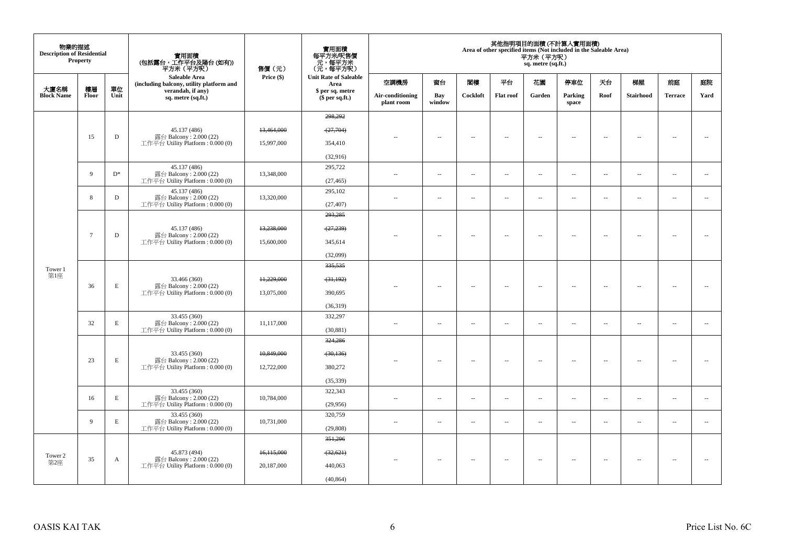| 物業的描述<br><b>Description of Residential</b> | <b>Property</b> |             | 實用面積<br>(包括露台,工作平台及陽台 (如有))<br>平方米(平方呎)                                    | 售價 (元)     | 實用面積<br>每平方米/呎售價<br>- 元, 每平方米<br>(元, 每平方呎)                       |                                |                          |                          |                  | 平方米(平方呎)<br>sq. metre (sq.ft.) | 其他指明項目的面積 (不計算入實用面積)<br>Area of other specified items (Not included in the Saleable Area) |                          |                          |                          |                          |
|--------------------------------------------|-----------------|-------------|----------------------------------------------------------------------------|------------|------------------------------------------------------------------|--------------------------------|--------------------------|--------------------------|------------------|--------------------------------|-------------------------------------------------------------------------------------------|--------------------------|--------------------------|--------------------------|--------------------------|
|                                            |                 |             | Saleable Area<br>(including balcony, utility platform and                  | Price (\$) | <b>Unit Rate of Saleable</b><br>空調機房<br>Area<br>\$ per sq. metre |                                | 窗台                       | 関樓                       | 平台               | 花園                             | 停車位                                                                                       | 天台                       | 梯屋                       | 前庭                       | 庭院                       |
| 大廈名稱<br><b>Block Name</b>                  | 樓層<br>Floor     | 單位<br>Unit  | verandah, if any)<br>sq. metre (sq.ft.)                                    |            | $$$ per sq.ft.)                                                  | Air-conditioning<br>plant room | Bay<br>window            | Cockloft                 | <b>Flat roof</b> | Garden                         | Parking<br>space                                                                          | Roof                     | Stairhood                | <b>Terrace</b>           | Yard                     |
|                                            |                 |             |                                                                            |            | 298,292                                                          |                                |                          |                          |                  |                                |                                                                                           |                          |                          |                          |                          |
|                                            |                 |             | 45.137 (486)                                                               | 13,464,000 | (27,704)                                                         |                                |                          |                          |                  |                                |                                                                                           |                          |                          |                          |                          |
|                                            | 15              | D           | 露台 Balcony: 2.000 (22)<br>工作平台 Utility Platform : 0.000 (0)                | 15,997,000 | 354,410                                                          |                                | $\sim$                   | $\sim$                   | $\sim$           | $\overline{\phantom{a}}$       | $\sim$                                                                                    | $\sim$                   | $\sim$                   | $\sim$                   | ÷.                       |
|                                            |                 |             |                                                                            |            | (32,916)                                                         |                                |                          |                          |                  |                                |                                                                                           |                          |                          |                          |                          |
|                                            | 9               | $D^*$       | 45.137 (486)<br>露台 Balcony: 2.000 (22)                                     | 13,348,000 | 295,722                                                          | $\overline{a}$                 |                          | $\sim$                   | $\sim$           | $\overline{\phantom{a}}$       | $\sim$                                                                                    |                          | $\overline{\phantom{a}}$ | $\sim$                   | $\sim$                   |
|                                            |                 |             | 工作平台 Utility Platform: 0.000 (0)                                           |            | (27, 465)                                                        |                                | $\sim$                   |                          |                  |                                |                                                                                           | $\overline{\phantom{a}}$ |                          |                          |                          |
|                                            | 8               | D           | 45.137 (486)<br>露台 Balcony: 2.000 (22)                                     | 13,320,000 | 295,102                                                          | $\ddot{\phantom{a}}$           | $\sim$                   | $\sim$                   | $\sim$           | $\overline{\phantom{a}}$       | $\sim$                                                                                    | $\overline{\phantom{a}}$ | $\overline{\phantom{a}}$ | $\sim$                   | $\sim$                   |
|                                            |                 |             | 工作平台 Utility Platform: 0.000 (0)                                           |            | (27, 407)                                                        |                                |                          |                          |                  |                                |                                                                                           |                          |                          |                          |                          |
|                                            |                 |             |                                                                            |            | 293,285                                                          |                                |                          |                          |                  |                                |                                                                                           |                          |                          |                          |                          |
|                                            | $7\phantom{.0}$ | D           | 45.137 (486)<br>露台 Balcony: 2.000 (22)                                     | 13,238,000 | (27, 239)                                                        | $\overline{\phantom{a}}$       | $\sim$                   | $\sim$                   | $\sim$           | $\overline{\phantom{a}}$       | $\sim$                                                                                    | $\overline{\phantom{a}}$ | $\overline{\phantom{a}}$ | $\sim$                   | $\overline{\phantom{a}}$ |
|                                            |                 |             | 工作平台 Utility Platform: 0.000 (0)                                           | 15,600,000 | 345,614                                                          |                                |                          |                          |                  |                                |                                                                                           |                          |                          |                          |                          |
|                                            |                 |             |                                                                            |            | (32,099)                                                         |                                |                          |                          |                  |                                |                                                                                           |                          |                          |                          |                          |
| Tower 1<br>第1座                             |                 |             |                                                                            |            | 335,535                                                          |                                |                          |                          |                  |                                |                                                                                           |                          |                          |                          |                          |
|                                            | 36              | E           | 33.466 (360)<br>露台 Balcony: 2.000 (22)                                     | 11,229,000 | (31, 192)                                                        |                                | $\overline{\phantom{a}}$ | 4                        | $\sim$           | Ξ.                             | $\sim$                                                                                    | $\overline{\phantom{a}}$ | $\overline{\phantom{a}}$ | 4                        | $\sim$                   |
|                                            |                 |             | 工作平台 Utility Platform : $0.000(0)$                                         | 13,075,000 | 390,695                                                          |                                |                          |                          |                  |                                |                                                                                           |                          |                          |                          |                          |
|                                            |                 |             |                                                                            |            | (36,319)                                                         |                                |                          |                          |                  |                                |                                                                                           |                          |                          |                          |                          |
|                                            | 32              | $\mathbf E$ | 33.455 (360)<br>露台 Balcony: 2.000 (22)                                     | 11,117,000 | 332,297                                                          | $\sim$                         | $\overline{\phantom{a}}$ | $\sim$                   | $\sim$           | $\overline{a}$                 | $\sim$                                                                                    | $\sim$                   | $\sim$                   | $\overline{\phantom{a}}$ | $\overline{\phantom{a}}$ |
|                                            |                 |             | 工作平台 Utility Platform : 0.000 (0)                                          |            | (30, 881)                                                        |                                |                          |                          |                  |                                |                                                                                           |                          |                          |                          |                          |
|                                            |                 |             |                                                                            |            | 324,286                                                          |                                |                          |                          |                  |                                |                                                                                           |                          |                          |                          |                          |
|                                            | 23              | $\mathbf E$ | 33.455 (360)<br>露台 Balcony: 2.000 (22)                                     | 10,849,000 | (30, 136)                                                        | $\sim$                         | $\sim$                   | $\sim$                   | $\sim$           | $\sim$                         | $\sim$                                                                                    | $\sim$                   | $\sim$                   | -44                      | $\sim$                   |
|                                            |                 |             | 工作平台 Utility Platform: 0.000 (0)                                           | 12,722,000 | 380,272                                                          |                                |                          |                          |                  |                                |                                                                                           |                          |                          |                          |                          |
|                                            |                 |             |                                                                            |            | (35, 339)                                                        |                                |                          |                          |                  |                                |                                                                                           |                          |                          |                          |                          |
|                                            | 16              | $\mathbf E$ | 33.455 (360)<br>露台 Balcony: 2.000 (22)                                     | 10,784,000 | 322,343                                                          | ٠.                             | ÷.                       | $\overline{\phantom{a}}$ | $\sim$           | $\overline{\phantom{a}}$       | $\sim$                                                                                    | $\overline{\phantom{a}}$ | $\overline{\phantom{a}}$ | $\overline{\phantom{a}}$ | $\overline{\phantom{a}}$ |
|                                            |                 |             | 工作平台 Utility Platform: 0.000 (0)                                           |            | (29,956)                                                         |                                |                          |                          |                  |                                |                                                                                           |                          |                          |                          |                          |
|                                            | $\overline{9}$  | $\mathbf E$ | 33.455 (360)<br>露台 Balcony: 2.000 (22)<br>工作平台 Utility Platform: 0.000 (0) | 10,731,000 | 320,759<br>(29, 808)                                             | ٠.                             | $\sim$                   | 4                        | $\sim$           | $\overline{\phantom{a}}$       | $\overline{\phantom{a}}$                                                                  | $\overline{\phantom{a}}$ | $\overline{\phantom{a}}$ | $\overline{\phantom{a}}$ | $\overline{\phantom{a}}$ |
|                                            |                 |             |                                                                            |            | 351,296                                                          |                                |                          |                          |                  |                                |                                                                                           |                          |                          |                          |                          |
| Tower 2                                    |                 |             | 45.873 (494)                                                               | 16,115,000 | (32, 621)                                                        |                                |                          |                          |                  |                                |                                                                                           |                          |                          |                          |                          |
| 第2座                                        | 35              | A           | 露台 Balcony: 2.000 (22)<br>工作平台 Utility Platform: 0.000 (0)                 | 20,187,000 | 440,063                                                          | $\overline{\phantom{a}}$       | $\sim$                   | $\sim$                   | $\sim$           | $\sim$                         | $\sim$                                                                                    | $\sim$                   | $\sim$                   | $\sim$                   | $\sim$                   |
|                                            |                 |             |                                                                            |            | (40, 864)                                                        |                                |                          |                          |                  |                                |                                                                                           |                          |                          |                          |                          |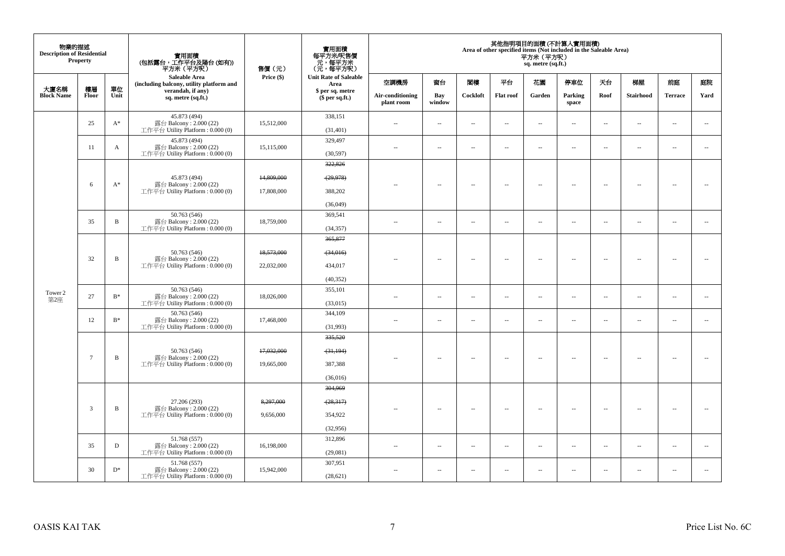| 物業的描述<br><b>Description of Residential</b> | <b>Property</b> |                | 實用面積<br>(包括露台,工作平台及陽台 (如有))<br>平方米(平方呎)                                      | 售價(元)                    | 實用面積<br>每平方米/呎售價<br>- 元, 每平方米<br>(元, 每平方呎) |                                |                          |                          |                          | 平方米 (平方呎)<br>sq. metre (sq.ft.) | 其他指明項目的面積 (不計算入實用面積)<br>Area of other specified items (Not included in the Saleable Area) |                          |                          |                          |                          |
|--------------------------------------------|-----------------|----------------|------------------------------------------------------------------------------|--------------------------|--------------------------------------------|--------------------------------|--------------------------|--------------------------|--------------------------|---------------------------------|-------------------------------------------------------------------------------------------|--------------------------|--------------------------|--------------------------|--------------------------|
|                                            |                 |                | Saleable Area<br>(including balcony, utility platform and                    | Price (\$)               | <b>Unit Rate of Saleable</b><br>Area       | 空調機房                           | 窗台                       | 閨樓                       | 平台                       | 花園                              | 停車位                                                                                       | 天台                       | 梯屋                       | 前庭                       | 庭院                       |
| 大廈名稱<br><b>Block Name</b>                  | 樓層<br>Floor     | 單位<br>Unit     | verandah, if any)<br>sq. metre (sq.ft.)                                      |                          | \$ per sq. metre<br>$$$ per sq.ft.)        | Air-conditioning<br>plant room | Bay<br>window            | Cockloft                 | Flat roof                | Garden                          | Parking<br>space                                                                          | Roof                     | Stairhood                | <b>Terrace</b>           | Yard                     |
|                                            | 25              | $A^*$          | 45.873 (494)<br>露台 Balcony: 2.000 (22)<br>工作平台 Utility Platform: 0.000 (0)   | 15,512,000               | 338,151<br>(31, 401)                       | $\sim$                         | $\overline{\phantom{a}}$ | $\sim$                   | $\sim$                   | $\sim$                          | $\sim$                                                                                    | $\overline{\phantom{a}}$ | $\overline{\phantom{a}}$ | $\sim$                   | $\sim$                   |
|                                            | 11              | А              | 45.873 (494)<br>露台 Balcony: 2.000 (22)<br>工作平台 Utility Platform: 0.000 (0)   | 15,115,000               | 329,497<br>(30, 597)                       | $\sim$                         | $\sim$                   | $\sim$                   | $\sim$                   | $\sim$                          | $\sim$                                                                                    | $\sim$                   | $\sim$                   | $\sim$                   | $\sim$                   |
|                                            |                 |                | 45.873 (494)                                                                 | 14,809,000               | 322,826<br>(29, 978)                       |                                |                          |                          |                          |                                 |                                                                                           |                          |                          |                          |                          |
|                                            | 6               | $A^*$          | 露台 Balcony: 2.000 (22)<br>工作平台 Utility Platform : 0.000 (0)                  | 17,808,000               | 388,202<br>(36,049)                        |                                | $\overline{\phantom{a}}$ | $\sim$                   | $\overline{\phantom{a}}$ | $\overline{\phantom{a}}$        | $\sim$                                                                                    | $\sim$                   | $\overline{\phantom{a}}$ | $\sim$                   | $\sim$                   |
|                                            | 35              | $\mathbf B$    | 50.763 (546)<br>露台 Balcony: 2.000 (22)<br>工作平台 Utility Platform : $0.000(0)$ | 18,759,000               | 369,541<br>(34, 357)                       | $\overline{\phantom{a}}$       | $\overline{\phantom{a}}$ | $\overline{\phantom{a}}$ | $\overline{\phantom{a}}$ | $\overline{\phantom{a}}$        | $\overline{\phantom{a}}$                                                                  | $\ddotsc$                | $\overline{\phantom{a}}$ | $\overline{\phantom{a}}$ | $\ddotsc$                |
|                                            | 32              | $\, {\bf B}$   | 50.763 (546)<br>露台 Balcony: 2.000 (22)<br>工作平台 Utility Platform : $0.000(0)$ | 18,573,000<br>22,032,000 | 365,877<br>$-34,016$<br>434,017            |                                | $\overline{\phantom{a}}$ | $\sim$                   | $\overline{\phantom{a}}$ | $\overline{\phantom{a}}$        | $\sim$                                                                                    | $\overline{\phantom{a}}$ | $\sim$                   | $\sim$                   | $\sim$                   |
| Tower 2                                    |                 |                | 50.763 (546)                                                                 |                          | (40, 352)<br>355,101                       |                                |                          |                          |                          |                                 |                                                                                           |                          |                          |                          |                          |
| 第2座                                        | 27              | $\mathbf{B}^*$ | 露台 Balcony: 2.000 (22)<br>工作平台 Utility Platform: 0.000 (0)<br>50.763 (546)   | 18,026,000               | (33,015)<br>344,109                        | $\sim$ $\sim$                  | $\overline{\phantom{a}}$ | $\overline{\phantom{a}}$ | $\sim$                   | $\overline{\phantom{a}}$        | $\overline{\phantom{a}}$                                                                  | $\overline{\phantom{a}}$ | $\overline{\phantom{a}}$ | $\overline{\phantom{a}}$ | $\overline{\phantom{a}}$ |
|                                            | 12              | $B^*$          | 露台 Balcony: 2.000 (22)<br>工作平台 Utility Platform: 0.000 (0)                   | 17,468,000               | (31,993)<br>335,520                        | $\sim$ $\sim$                  | --                       | $\overline{\phantom{a}}$ | $\overline{\phantom{a}}$ | $\overline{\phantom{a}}$        | $\overline{\phantom{a}}$                                                                  | $\sim$                   | $\overline{\phantom{a}}$ | $\overline{\phantom{a}}$ | $\overline{\phantom{a}}$ |
|                                            | $\overline{7}$  | $\, {\bf B}$   | 50.763 (546)<br>露台 Balcony: 2.000 (22)<br>工作平台 Utility Platform : 0.000 (0)  | 17,032,000<br>19,665,000 | (31, 194)<br>387,388                       | $\sim$                         | $\overline{a}$           | $\sim$                   | $\sim$                   | $\sim$                          | $\sim$                                                                                    | $\sim$                   | $\sim$                   | н.                       | $\sim$                   |
|                                            |                 |                | 27.206 (293)                                                                 | 8,297,000                | (36,016)<br>304,969<br>(28, 317)           |                                |                          |                          |                          |                                 |                                                                                           |                          |                          |                          |                          |
|                                            | $\overline{3}$  | $\, {\bf B}$   | 露台 Balcony: 2.000 (22)<br>工作平台 Utility Platform: 0.000 (0)                   | 9,656,000                | 354,922<br>(32,956)                        |                                | $\overline{\phantom{a}}$ | $\sim$                   | $\overline{\phantom{a}}$ | $\ldots$                        | $\sim$                                                                                    | $\overline{\phantom{a}}$ | $\sim$                   | $\sim$                   | ÷.                       |
|                                            | 35              | $\mathbf D$    | 51.768 (557)<br>露台 Balcony: 2.000 (22)<br>工作平台 Utility Platform: 0.000 (0)   | 16,198,000               | 312,896<br>(29,081)                        | $\overline{a}$                 | $\overline{\phantom{a}}$ | $\sim$                   | $\sim$                   | $\overline{a}$                  | $\sim$                                                                                    | $\overline{\phantom{a}}$ | $\overline{\phantom{a}}$ | $\sim$                   | $\sim$                   |
|                                            | 30              | $D^*$          | 51.768 (557)<br>露台 Balcony: $2.000(22)$<br>工作平台 Utility Platform : 0.000 (0) | 15,942,000               | 307,951<br>(28, 621)                       | ÷.                             | μ.                       | $\sim$                   | $\sim$                   | $\overline{\phantom{a}}$        | $\sim$                                                                                    | $\overline{\phantom{a}}$ | $\sim$                   | $\bar{a}$                | $\overline{\phantom{a}}$ |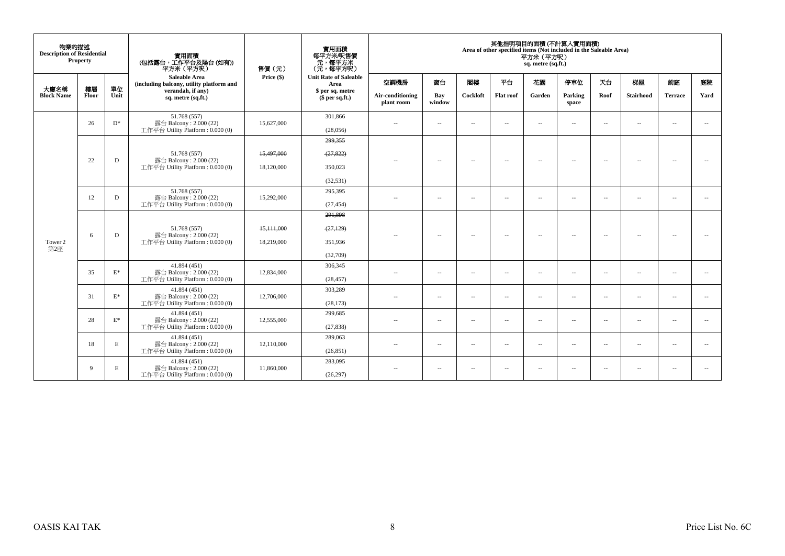| 物業的描述<br><b>Description of Residential</b> | Property    |                 | 實用面積<br>(包括露台,工作平台及陽台(如有))<br>平方米 (平方呎)                                    | 售價(元)      | 實用面積<br>每平方米/呎售價<br>元,每平方米<br>(元,每平方呎) |                                |                          |               |                  | 其他指明項目的面積 (不計算入實用面積)<br>Area of other specified items (Not included in the Saleable Area)<br>平方米 (平方呎)<br>sq. metre (sq.ft.) |                          |                          |                          |                |                          |
|--------------------------------------------|-------------|-----------------|----------------------------------------------------------------------------|------------|----------------------------------------|--------------------------------|--------------------------|---------------|------------------|------------------------------------------------------------------------------------------------------------------------------|--------------------------|--------------------------|--------------------------|----------------|--------------------------|
|                                            |             |                 | <b>Saleable Area</b><br>(including balcony, utility platform and           | Price (\$) | <b>Unit Rate of Saleable</b><br>Area   | 空調機房                           | 窗台                       | 閣樓            | 平台               | 花園                                                                                                                           | 停車位                      | 天台                       | 梯屋                       | 前庭             | 庭院                       |
| 大廈名稱<br><b>Block Name</b>                  | 樓層<br>Floor | 單位<br>Unit      | verandah, if any)<br>sq. metre (sq.ft.)                                    |            | \$ per sq. metre<br>\$per sq.ft.)      | Air-conditioning<br>plant room | Bay<br>window            | Cockloft      | <b>Flat roof</b> | Garden                                                                                                                       | Parking<br>space         | Roof                     | <b>Stairhood</b>         | <b>Terrace</b> | Yard                     |
|                                            | 26          | $D^*$           | 51.768 (557)<br>露台 Balcony: 2.000 (22)<br>工作平台 Utility Platform: 0.000 (0) | 15,627,000 | 301,866<br>(28,056)                    | $\sim$                         | $\overline{\phantom{a}}$ | $\sim$        | $\sim$           | $\overline{\phantom{a}}$                                                                                                     | $\overline{\phantom{a}}$ | $\overline{\phantom{a}}$ | $\overline{\phantom{a}}$ | $\sim$         | $\sim$                   |
|                                            |             |                 |                                                                            |            | 299,355                                |                                |                          |               |                  |                                                                                                                              |                          |                          |                          |                |                          |
|                                            |             |                 | 51.768 (557)                                                               | 15,497,000 | (27, 822)                              |                                |                          |               |                  |                                                                                                                              |                          |                          |                          |                |                          |
|                                            | 22          | D               | 露台 Balcony: 2.000 (22)<br>工作平台 Utility Platform: 0.000 (0)                 | 18,120,000 | 350,023                                | $\sim$ $\sim$                  | $\overline{\phantom{a}}$ | $\sim$        | $\sim$           | $\sim$                                                                                                                       | $\sim$                   | $\sim$                   | $\overline{\phantom{a}}$ | $\sim$         | $\sim$                   |
|                                            |             |                 |                                                                            |            | (32, 531)                              |                                |                          |               |                  |                                                                                                                              |                          |                          |                          |                |                          |
|                                            | 12          | D               | 51.768 (557)<br>露台 Balcony: 2.000 (22)                                     | 15,292,000 | 295,395                                | $\sim$ $\sim$                  | $\sim$                   | $\sim$        | $\sim$           | $\overline{\phantom{a}}$                                                                                                     | $\sim$                   | $\sim$                   | $\sim$                   | $\sim$         | $\sim$                   |
|                                            |             |                 | 工作平台 Utility Platform: 0.000 (0)                                           |            | (27, 454)                              |                                |                          |               |                  |                                                                                                                              |                          |                          |                          |                |                          |
|                                            |             |                 |                                                                            |            | 291.898                                |                                |                          |               |                  |                                                                                                                              |                          |                          |                          |                |                          |
|                                            | 6           | D               | 51.768 (557)<br>露台 Balcony: 2.000 (22)                                     | 15,111,000 | (27, 129)                              | $\sim$ $\sim$                  | $\overline{\phantom{a}}$ | $\sim$        | $\sim$           | $\sim$                                                                                                                       | $\sim$                   | $\sim$                   | $\sim$                   | $\sim$         | $\overline{\phantom{a}}$ |
| Tower 2<br>第2座                             |             |                 | 工作平台 Utility Platform: 0.000 (0)                                           | 18.219.000 | 351.936                                |                                |                          |               |                  |                                                                                                                              |                          |                          |                          |                |                          |
|                                            |             |                 |                                                                            |            | (32,709)                               |                                |                          |               |                  |                                                                                                                              |                          |                          |                          |                |                          |
|                                            | 35          | $\mathcal{E}^*$ | 41.894 (451)<br>露台 Balcony: 2.000 (22)                                     | 12,834,000 | 306,345                                | $\overline{\phantom{a}}$       | $\overline{\phantom{a}}$ | $\sim$        | $\sim$           | $\overline{\phantom{a}}$                                                                                                     | $\sim$                   | $\sim$                   | $\overline{\phantom{a}}$ | $\sim$         | $\overline{\phantom{a}}$ |
|                                            |             |                 | 工作平台 Utility Platform: 0.000 (0)                                           |            | (28, 457)                              |                                |                          |               |                  |                                                                                                                              |                          |                          |                          |                |                          |
|                                            | 31          | $\mathbf{E}^*$  | 41.894 (451)<br>露台 Balcony: 2.000 (22)                                     | 12,706,000 | 303,289                                | $\sim$                         | $\overline{\phantom{a}}$ | $\sim$        | $\sim$           | $\overline{\phantom{a}}$                                                                                                     | $\sim$                   | $\sim$                   | $\sim$                   | $\sim$         | $\sim$                   |
|                                            |             |                 | 工作平台 Utility Platform: 0.000 (0)                                           |            | (28, 173)                              |                                |                          |               |                  |                                                                                                                              |                          |                          |                          |                |                          |
|                                            | 28          | $E^*$           | 41.894 (451)                                                               | 12,555,000 | 299,685                                |                                |                          |               |                  |                                                                                                                              |                          |                          |                          |                |                          |
|                                            |             |                 | 露台 Balcony: 2.000 (22)<br>工作平台 Utility Platform: 0.000 (0)                 |            | (27, 838)                              | $\sim$ $-$                     | $\overline{\phantom{a}}$ | $\sim$        | $\sim$           | $\sim$                                                                                                                       | $\overline{\phantom{a}}$ | $\sim$                   | $\overline{\phantom{a}}$ | $\sim$         | $\overline{\phantom{a}}$ |
|                                            |             |                 | 41.894 (451)                                                               |            | 289,063                                |                                |                          |               |                  |                                                                                                                              |                          |                          |                          |                |                          |
|                                            | 18          | E               | 露台 Balcony: 2.000 (22)<br>工作平台 Utility Platform: 0.000 (0)                 | 12,110,000 | (26, 851)                              | $\sim$ $\sim$                  | $\sim$                   | $\sim$        | $\sim$           | $\overline{\phantom{a}}$                                                                                                     | $\sim$                   | $\sim$                   | $\sim$                   | $\sim$         | $\sim$                   |
|                                            | 9           | E               | 41.894 (451)<br>露台 Balcony: 2.000 (22)                                     | 11,860,000 | 283,095                                | $\sim$ $-$                     | $\sim$                   | $\sim$ $\sim$ | $\sim$           | $\overline{\phantom{a}}$                                                                                                     | $\sim$                   | $\sim$                   | $\sim$                   | $\sim$         |                          |
|                                            |             |                 | 工作平台 Utility Platform: 0.000 (0)                                           |            | (26, 297)                              |                                |                          |               |                  |                                                                                                                              |                          |                          |                          |                |                          |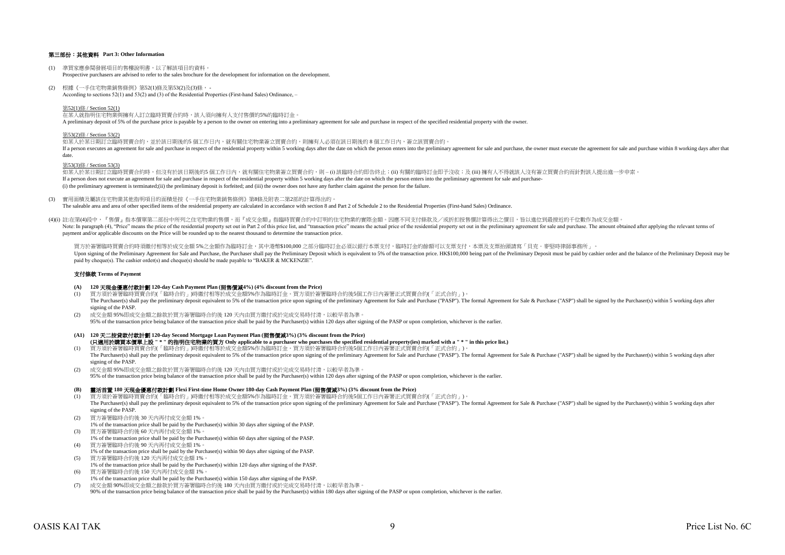### 第三部份:其他資料 **Part 3: Other Information**

- (1) 準買家應參閱發展項目的售樓說明書,以了解該項目的資料。 Prospective purchasers are advised to refer to the sales brochure for the development for information on the development.
- (2) 根據《一手住宅物業銷售條例》第52(1)條及第53(2)及(3)條, According to sections 52(1) and 53(2) and (3) of the Residential Properties (First-hand Sales) Ordinance, –

第52(1)條 / Section 52(1)

在某人就指明住宅物業與擁有人訂立臨時買賣合約時,該人須向擁有人支付售價的5%的臨時訂金。 A preliminary deposit of 5% of the purchase price is payable by a person to the owner on entering into a preliminary agreement for sale and purchase in respect of the specified residential property with the owner.

#### 第53(2)條 / Section 53(2)

如某人於某日期訂立臨時買賣合約,並於該日期後的5 個工作日內,就有關住宅物業簽立買賣合約,則擁有人必須在該日期後的 8 個工作日内,簽立該買賣合約。 If a person executes an agreement for sale and purchase in respect of the residential property within 5 working days after the date on which the person enters into the preliminary agreement for sale and purchase, the owner date.

#### 第53(3)條 / Section 53(3)

如某人於某日期訂立臨時買賣合約時,但沒有於該日期後的5 個工作日內,就有關住宅物業簽立買賣合約,則 – (i) 該臨時合約即告終止;(ii) 有關的臨時訂金即予沒收;及 (iii) 擁有人不得就該人沒有簽立買賣合約而針對該人提出進一步申索。 If a person does not execute an agreement for sale and purchase in respect of the residential property within 5 working days after the date on which the person enters into the preliminary agreement for sale and purchase-(i) the preliminary agreement is terminated;(ii) the preliminary deposit is forfeited; and (iii) the owner does not have any further claim against the person for the failure.

(3) 實用面積及屬該住宅物業其他指明項目的面積是按《一手住宅物業銷售條例》第8條及附表二第2部的計算得出的。

The saleable area and area of other specified items of the residential property are calculated in accordance with section 8 and Part 2 of Schedule 2 to the Residential Properties (First-hand Sales) Ordinance.

(4)(i) 註:在第(4)段中,『售價』指本價單第二部份中所列之住宅物業的售價,而『成交金額』指臨時買賣合約中訂明的住宅物業的實際金額。因應不同支付條款及/或折扣按售價計算得出之價目,皆以進位到最接近的千位數作為成交金額。 Note In paragraph (4) "Price" means the precidential price of the residential price of the residential price is and "transaction price" means the actual price is and "transaction price" means the actual price is and "trans payment and/or applicable discounts on the Price will be rounded up to the nearest thousand to determine the transaction price.

買方於簽署臨時買賣合約時須繳付相等於成交金額 5%之金額作為臨時訂金,其中港幣\$100,000 之部分臨時訂金必須以銀行本票支付,臨時訂金的餘額可以支票支付,本票及支票抬頭請寫「貝克.麥堅時律師事務所」。 Upon signing of the Preliminary Agreement for Sale and Purchase, the Purchaser shall pay the Preliminary Deposit which is equivalent to 5% of the transaction price. HK\$100,000 being part of the Prelimiary Deposit must be p paid by cheque(s). The cashier order(s) and cheque(s) should be made payable to "BAKER & MCKENZIE".

#### 支付條款 **Terms of Payment**

- **(A) 120** 天現金優惠付款計劃 **120-day Cash Payment Plan (**照售價減**4%) (4% discount from the Price)**
- (1) 買方須於簽署臨時買賣合約(「臨時合約」)時繳付相等於成交金額5%作為臨時訂金。買方須於簽署臨時合約後5個工作日內簽署正式買賣合約(「正式合約」)。 The Purchaser(s) shall pay the preliminary deposit equivalent to 5% of the transaction price upon signing of the preliminary Agreement for Sale and Purchase ("PASP"). The formal Agreement for Sale & Purchase ("ASP") shall signing of the PASP.
- (2) 成交金額 95%即成交金額之餘款於買方簽署臨時合約後 120 天內由買方繳付或於完成交易時付清,以較早者為準。 95% of the transaction price being balance of the transaction price shall be paid by the Purchaser(s) within 120 days after signing of the PASP or upon completion, whichever is the earlier.
- **(A1) 120** 天二按貸款付款計劃 **120-day Second Mortgage Loan Payment Plan (**照售價減**3%) (3% discount from the Price)** (1) 買方須於簽署臨時買賣合約(「臨時合約」)時繳付相等於成交金額5%作為臨時訂金。買方須於簽署臨時合約後5個工作日內簽署正式買賣合約(「正式合約」)。 **(**只適用於購買本價單上設 **" \* "** 的指明住宅物業的買方 **Only applicable to a purchaser who purchases the specified residential property(ies) marked with a " \* " in this price list.)**
- The Purchaser(s) shall pay the preliminary deposit equivalent to 5% of the transaction price upon signing of the preliminary Agreement for Sale and Purchase ("PASP"). The formal Agreement for Sale & Purchase ("ASP") shall signing of the PASP.
- (2) 成交金額 95%即成交金額之餘款於買方簽署臨時合約後 120 天內由買方繳付或於完成交易時付清,以較早者為準。 95% of the transaction price being balance of the transaction price shall be paid by the Purchaser(s) within 120 days after signing of the PASP or upon completion, whichever is the earlier.

#### **(B)** 靈活首置 **180** 天現金優惠付款計劃 **Flexi First-time Home Owner 180-day Cash Payment Plan (**照售價減**3%) (3% discount from the Price)**

- (1) 買方須於簽署臨時買賣合約(「臨時合約」)時繳付相等於成交金額5%作為臨時訂金。買方須於簽署臨時合約後5個工作日內簽署正式買賣合約(「正式合約」)。 The Purchaser(s) shall pay the preliminary deposit equivalent to 5% of the transaction price upon signing of the preliminary Agreement for Sale and Purchase ("PASP"). The formal Agreement for Sale & Purchase ("ASP") shall signing of the PASP.
- (2) 買方簽署臨時合約後 30 天內再付成交金額 1%。
- 1% of the transaction price shall be paid by the Purchaser(s) within 30 days after signing of the PASP.
- (3) 買方簽署臨時合約後 60 天內再付成交金額 1%。
- 1% of the transaction price shall be paid by the Purchaser(s) within 60 days after signing of the PASP.
- (4) 買方簽署臨時合約後 90 天內再付成交金額 1%。
- 1% of the transaction price shall be paid by the Purchaser(s) within 90 days after signing of the PASP. (5) 買方簽署臨時合約後 120 天內再付成交金額 1%。
- 1% of the transaction price shall be paid by the Purchaser(s) within 120 days after signing of the PASP. (6) 買方簽署臨時合約後 150 天內再付成交金額 1%。
- 1% of the transaction price shall be paid by the Purchaser(s) within 150 days after signing of the PASP.
- (7) 成交金額 90%即成交金額之餘款於買方簽署臨時合約後 180 天內由買方繳付或於完成交易時付清,以較早者為準。
- 90% of the transaction price being balance of the transaction price shall be paid by the Purchaser(s) within 180 days after signing of the PASP or upon completion, whichever is the earlier.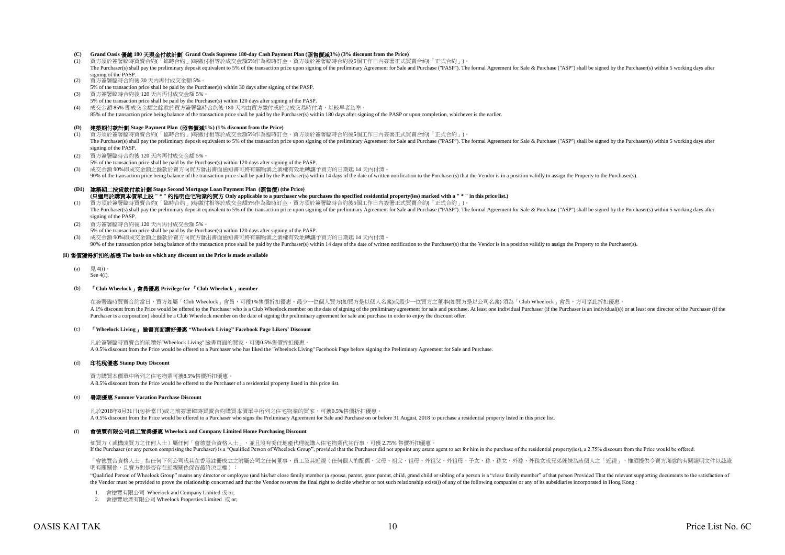# **(C) Grand Oasis** 優越 **180** 天現金付款計劃 **Grand Oasis Supreme 180-day Cash Payment Plan (**照售價減**3%) (3% discount from the Price)**

- 買方須於簽署臨時買賣合約(「臨時合約」)時繳付相等於成交金額5%作為臨時訂金。買方須於簽署臨時合約後5個工作日内簽署正式買賣合約(「正式合約」)。 The Purchaser(s) shall pay the preliminary deposit equivalent to 5% of the transaction price upon signing of the preliminary Agreement for Sale and Purchase ("PASP"). The formal Agreement for Sale & Purchase ("ASP") shall signing of the PASP.
- (2) 買方簽署臨時合約後 30 天內再付成交金額 5%。
- 5% of the transaction price shall be paid by the Purchaser(s) within 30 days after signing of the PASP.
- (3) 買方簽署臨時合約後 120 天內再付成交金額 5%。 5% of the transaction price shall be paid by the Purchaser(s) within 120 days after signing of the PASP.
- (4) 成交金額 85% 即成交金額之餘款於買方簽署臨時合約後 180 天內由買方繳付或於完成交易時付清,以較早者為準。
- 85% of the transaction price being balance of the transaction price shall be paid by the Purchaser(s) within 180 days after signing of the PASP or upon completion, whichever is the earlier.

#### **(D)** 建築期付款計劃 **Stage Payment Plan (**照售價減**1%) (1% discount from the Price)**

- (1) 買方須於簽署臨時買賣合約(「臨時合約」)時繳付相等於成交金額5%作為臨時訂金。買方須於簽署臨時合約後5個工作日內簽署正式買賣合約(「正式合約」)。 The Purchaser(s) shall pay the preliminary deposit equivalent to 5% of the transaction price upon signing of the preliminary Agreement for Sale and Purchase ("PASP"). The formal Agreement for Sale & Purchase ("ASP") shall signing of the PASP.
- (2) 買方簽署臨時合約後 120 天內再付成交金額 5%。
- 5% of the transaction price shall be paid by the Purchaser(s) within 120 days after signing of the PASP.
- (3) 成交金額 90%即成交金額之餘款於賣方向買方發出書面通知書可將有關物業之業權有效地轉讓予買方的日期起 14 天內付清。

90% of the transaction price being balance of the transaction price shall be paid by the Purchaser(s) within 14 days of the date of written notification to the Purchaser(s) that the Vendor is in a position validly to assig

### **(D1)** 建築期二按貸款付款計劃 **Stage Second Mortgage Loan Payment Plan (**照售價**) (the Price)**

- **(**只適用於購買本價單上設 **" \* "** 的指明住宅物業的買方 **Only applicable to a purchaser who purchases the specified residential property(ies) marked with a " \* " in this price list.)**
- (1) 買方須於簽署臨時買賣合約(「臨時合約」)時繳付相等於成交金額5%作為臨時訂金。買方須於簽署臨時合約後5個工作日內簽署正式買賣合約(「正式合約」)。 The Purchaser(s) shall pay the preliminary deposit equivalent to 5% of the transaction price upon signing of the preliminary Agreement for Sale and Purchase ("PASP"). The formal Agreement for Sale & Purchase ("ASP") shall signing of the PASP.
- (2) 買方簽署臨時合約後 120 天內再付成交金額 5%。
- 5% of the transaction price shall be paid by the Purchaser(s) within 120 days after signing of the PASP.
- (3) 成交金額 90%即成交金額之餘款於賣方向買方發出書面通知書可將有關物業之業權有效地轉讓予買方的日期起 14 天內付清。

90% of the transaction price being balance of the transaction price shall be paid by the Purchaser(s) within 14 days of the date of written notification to the Purchaser(s) that the Vendor is in a position validly to assig

#### **(ii)** 售價獲得折扣的基礎 **The basis on which any discount on the Price is made available**

- (a)  $\boxplus$  4(i)
- See 4(i).

#### (b) 「**Club Wheelock**」會員優惠 **Privilege for** 「**Club Wheelock**」**member**

在簽署臨時買賣合約當日,買方如屬「Club Wheelock」會員,可獲1%售價折扣優惠。最少一位個人買方(如買方是以個人名義)或最少一位買方之董事(如買方是以公司名義) 須為「Club Wheelock」會員,方可享此折扣優惠 A 1% discount from the Price would be offered to the Purchaser who is a Club Wheelock member on the date of signing of the preliminary agreement for sale and purchase. At least one individual Purchaser (if the Purchaser is Purchaser is a corporation) should be a Club Wheelock member on the date of signing the preliminary agreement for sale and purchase in order to enjoy the discount offer.

#### (c) 「**Wheelock Living**」 臉書頁面讚好優惠 **"Wheelock Living" Facebook Page Likers' Discount**

凡於簽署臨時買賣合約前讚好"Wheelock Living" 臉書頁面的買家,可獲0.5%售價折扣優惠。 A 0.5% discount from the Price would be offered to a Purchaser who has liked the "Wheelock Living" Facebook Page before signing the Preliminary Agreement for Sale and Purchase.

#### (d) 印花稅優惠 **Stamp Duty Discount**

買方購買本價單中所列之住宅物業可獲8.5%售價折扣優惠。 A 8.5% discount from the Price would be offered to the Purchaser of a residential property listed in this price list.

#### (e) 暑期優惠 **Summer Vacation Purchase Discount**

凡於2018年8月31日(包括當日)或之前簽署臨時買賣合約購買本價單中所列之住宅物業的買家,可獲0.5%售價折扣優惠。 A 0.5% discount from the Price would be offered to a Purchaser who signs the Preliminary Agreement for Sale and Purchase on or before 31 August, 2018 to purchase a residential property listed in this price list.

#### $(f)$ 會德豐有限公司員工置業優惠 **Wheelock and Company Limited Home Purchasing Discount**

如買方(或構成買方之任何人士)屬任何「會德豐合資格人士」,並且沒有委任地產代理就購入住宅物業代其行事,可獲 2.75% 售價折扣優惠。 If the Purchaser (or any person comprising the Purchaser) is a "Qualified Person of Wheelock Group", provided that the Purchaser did not appoint any estate agent to act for him in the purchase of the residential property(i

「會德豐合資格人士」指任何下列公司或其在香港註冊成立之附屬公司之任何董事、員工及其近親(任何個人的配偶、父母、祖父、祖母、外祖父、外祖母、子女、孫、孫女、外孫、外孫女或兄弟姊妹為該個人之「近親」,惟須提供令賣方滿意的有關證明文件以茲證 明有關關係,且賣方對是否存在近親關係保留最終決定權):

"Oualified Person of Wheelock Group" means any director or employee (and his/her close family member (a spouse, parent, grant parent, child, grand child or sibling of a person is a "close family member" of that person Froy the Vendor must be provided to prove the relationship concerned and that the Vendor reserves the final right to decide whether or not such relationship exists)) of any of the following companies or any of its subsidiaries

1. 會德豐有限公司 Wheelock and Company Limited 或 or;

2. 會德豐地產有限公司 Wheelock Properties Limited 或 or;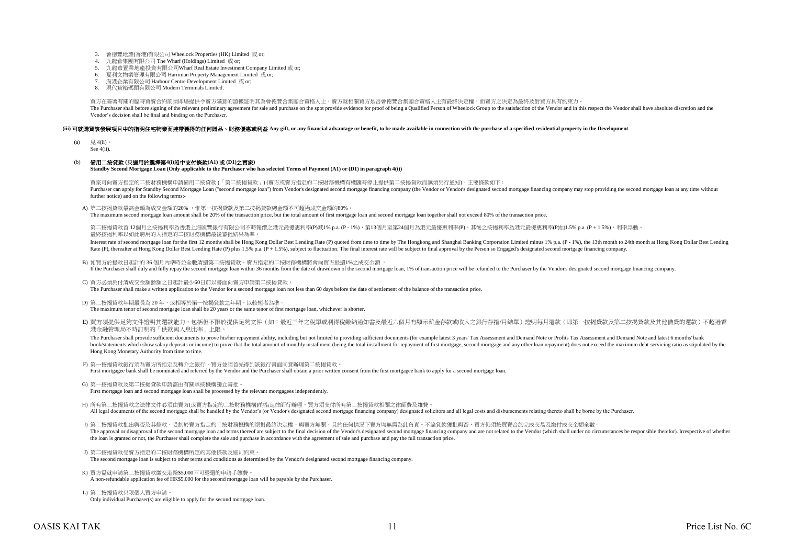- 3. 會德豐地產(香港)有限公司 Wheelock Properties (HK) Limited 或 or;
- 4. 九龍倉集團有限公司 The Wharf (Holdings) Limited 或 or;
- 5. 九龍倉置業地產投資有限公司Wharf Real Estate Investment Company Limited 或 or;
- 6. 夏利文物業管理有限公司 Harriman Property Management Limited 或 or;
- 7. 海港企業有限公司 Harbour Centre Development Limited 或 or;
- 8. 現代貨箱碼頭有限公司 Modern Terminals Limited.

買方在簽署有關的臨時買賣合約前須即場提供令賣方滿意的證據証明其為會德豐合集團合資格人士,賣方就相關買方是否會德豐合集團合資格人士有最終決定權,而賣方之決定為最終及對買方具有約束力。 The Purchaser shall before signing of the relevant preliminary agreement for sale and purchase on the spot provide evidence for proof of being a Qualified Person of Wheelock Group to the satisfaction of the Vendor and in t Vendor's decision shall be final and binding on the Purchaser.

### (iii) 可就識買該發展項目中的指明住宅物業而連帶獲得的任何贈品、財務優惠或利益 Any gift, or any financial advantage or benefit, to be made available in connection with the purchase of a specified residential property in the Development

- (a)  $\boxplus$  4(ii)
- See 4(ii).

### (b) 備用二按貸款 **(**只適用於選擇第**4(i)**段中支付條款**(A1)** 或 **(D1)**之買家**)**

**Standby Second Mortgage Loan (Only applicable to the Purchaser who has selected Terms of Payment (A1) or (D1) in paragraph 4(i))**

買家可向賣方指定的二按財務機構申請備用二按貸款 (「第二按揭貨款」) (賣方或賣方指定的二按財務機構有權隨時停止提供第二按揭貨款而無須另行通知),主要條款如下 : Purchaser can apply for Standby Second Mottgage Loan ("second mottgage loan") from Vendor's designated second mottgage financing company (the Vendor or Vendor's designated second mortgage francing company may stop providin further notice) and on the following terms:-

A) 第二按揭貸款最高金額為成交金額的20% ,惟第一按揭貸款及第二按揭貸款總金額不可超過成交金額的80%。

The maximum second mortgage loan amount shall be 20% of the transaction price, but the total amount of first mortgage loan and second mortgage loan together shall not exceed 80% of the transaction price.

第二按揭貸款首 12個月之按揭利率為香港上海匯豐銀行有限公司不時報價之港元最優惠利率(P)減1% p.a. (P - 1%),第13個月至第24個月為港元最優惠利率(P),其後之按揭利率為港元最優惠利率(P)加1.5% p.a. (P + 1.5%),利率浮動。 最終按揭利率以如此聘用的人指定的二按財務機構最後審批結果為準。

Interest rate of second mortgage loan for the first 12 months shall be Hong Kong Dollar Best Lending Rate (P) quoted from time to time by The Hongkong and Shanghai Banking Corporation Limited minus 1% p.a. (P - 1%), the 13 Rate (P), thereafter at Hong Kong Dollar Best Lending Rate (P) plus 1.5% p.a. (P + 1.5%), subject to fluctuation. The final interest rate will be subject to final approval by the Person so Engaged's designated second mortg

- B) 如買方於提款日起計的 36 個月內準時並全數清還第二按揭貸款,賣方指定的二按財務機構將會向買方退還1%之成交金額 。 If the Purchaser shall duly and fully repay the second mortgage loan within 36 months from the date of drawdown of the second mortgage loan, 1% of transaction price will be refunded to the Purchaser by the Vendor's designa
- C) 買方必須於付清成交金額餘額之日起計最少60日前以書面向賣方申請第二按揭貸款。  $\sum_{i=1}^{n}$  Purchaser shall make a written application to the Vendor for a second mortgage loan not less than 60 days before the date of settlement of the balance of the transaction price.
- D) 第二按揭貸款年期最長為 20 年,或相等於第一按揭貸款之年期,以較短者為準。 The maximum tenor of second mortgage loan shall be 20 years or the same tenor of first mortgage loan, whichever is shorter.
- E) 買方須提供足夠文件證明其還款能力,包括但不限於提供足夠文件(如:最近三年之稅單或利得稅繳納通知書及最近六個月有顯示薪金存款或收入之銀行存摺/月結單)證明每月還款(即第一按揭貸款及第二按揭貸款及其他借貸的還款)不超過香 港金融管理局不時訂明的「供款與入息比率」上限。

The Purchaser shall provide sufficient documents to prove his/her repayment ability, including but not limited to providing sufficient documents (for example latest 3 years' Tax Assessment and Demand Note or Profits Tax As book/statements which show salary deposits or income) to prove that the total amount of monthly installment (being the total installment for repayment of first mortgage, second mortgage and any other loan repayment of does Hong Kong Monetary Authority from time to time.

- F) 第一按揭貸款銀行須為賣方所指定及轉介之銀行,買方並須首先得到該銀行書面同意辦理第二按揭貸款。 First mortgagee bank shall be nominated and referred by the Vendor and the Purchaser shall obtain a prior written consent from the first mortgagee bank to apply for a second mortgage loan.
- G) 第一按揭貸款及第二按揭貸款申請需由有關承按機構獨立審批。 First mortgage loan and second mortgage loan shall be processed by the relevant mortgagees independently.
- H) 所有第二按揭貸款之法律文件必須由賣方(或賣方指定的二按財務機構)的指定律師行辦理,買方須支付所有第二按揭貸款相關之律師費及雜費。 All legal documents of the second mortgage shall be handled by the Vendor's (or Vendor's designated second mortgage financing company) designated solicitors and all legal costs and disbursements relating thereto shall be b

I) 第二按揭貸款批出與否及其條款,受制於賣方指定的二按財務機構的絕對最終決定權,與賣方無關,且於任何情況下賣方均無需為此負責。不論貸款獲批與否,買方仍須按買賣合約完成交易及繳付成交金額全數。 The approval or disapproval of the second mortgage loan and terms thereof are subject to the final decision of the Vendor's designated second mortgage financing company and are not related to the Vendor (which shall under the loan is granted or not, the Purchaser shall complete the sale and purchase in accordance with the agreement of sale and purchase and pay the full transaction price.

- J) 第二按揭貨款受賣方指定的二按財務機構所定的其他條款及細則約束。 The second mortgage loan is subject to other terms and conditions as determined by the Vendor's designated second mortgage financing company.
- K) 買方需就申請第二按揭貸款繳交港幣\$5,000不可退還的申請手續費。 A non-refundable application fee of HK\$5,000 for the second mortgage loan will be payable by the Purchaser.
- L) 第二按揭貸款只限個人買方申請。 Only individual Purchaser(s) are eligible to apply for the second mortgage loan.